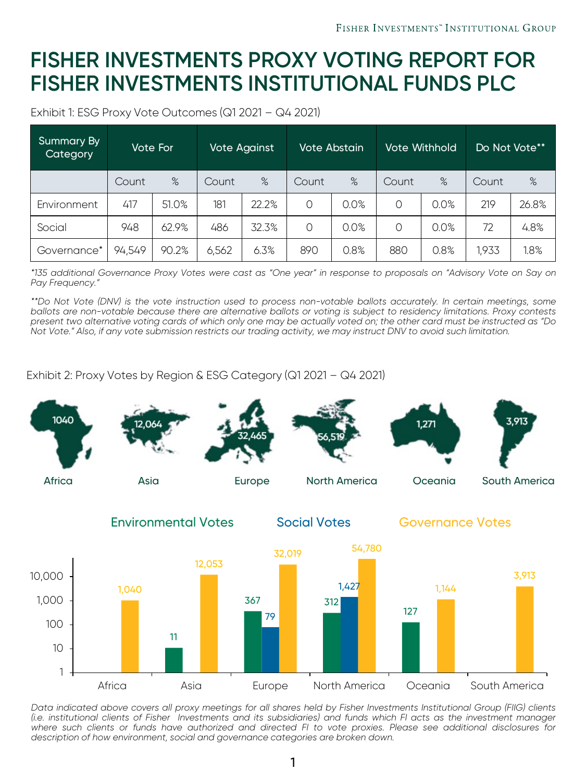## **FISHER INVESTMENTS PROXY VOTING REPORT FOR FISHER INVESTMENTS INSTITUTIONAL FUNDS PLC**

Exhibit 1: ESG Proxy Vote Outcomes (Q1 2021 – Q4 2021)

| Summary By<br>Category | Vote For <b>'</b> |       | <b>Vote Against</b> |       | Vote Abstain |      | Vote Withhold |      | Do Not Vote** |       |
|------------------------|-------------------|-------|---------------------|-------|--------------|------|---------------|------|---------------|-------|
|                        | Count             | %     | Count               | %     | Count        | %    | Count         | %    | Count         | %     |
| Environment            | 417               | 51.0% | 181                 | 22.2% | $\Omega$     | 0.0% | $\Omega$      | 0.0% | 219           | 26.8% |
| Social                 | 948               | 62.9% | 486                 | 32.3% | $\Omega$     | 0.0% | $\Omega$      | 0.0% | 72            | 4.8%  |
| Governance*            | 94,549            | 90.2% | 6,562               | 6.3%  | 890          | 0.8% | 880           | 0.8% | 1,933         | 1.8%  |

\*135 additional Governance Proxy Votes were cast as "One year" in response to proposals on "Advisory Vote on Say on *Pay Frequency."*

\*\*Do Not Vote (DNV) is the vote instruction used to process non-votable ballots accurately. In certain meetings, some ballots are non-votable because there are alternative ballots or voting is subject to residency limitations. Proxy contests present two alternative voting cards of which only one may be actually voted on; the other card must be instructed as "Do Not Vote." Also, if any vote submission restricts our trading activity, we may instruct DNV to avoid such limitation.

Exhibit 2: Proxy Votes by Region & ESG Category (Q1 2021 – Q4 2021)



Data indicated above covers all proxy meetings for all shares held by Fisher Investments Institutional Group (FIIG) clients (i.e. institutional clients of Fisher Investments and its subsidiaries) and funds which FI acts as the investment manager where such clients or funds have authorized and directed FI to vote proxies. Please see additional disclosures for *description of how environment, social and governance categories are broken down.*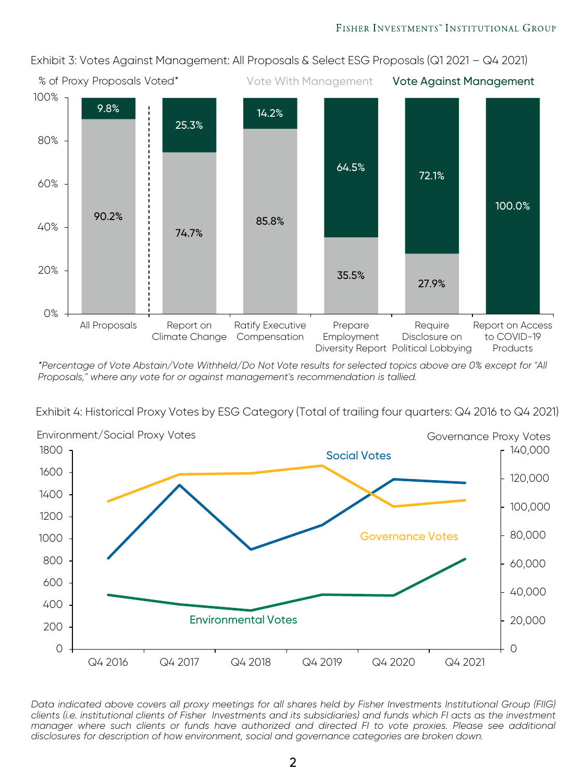Exhibit 3: Votes Against Management: All Proposals & Select ESG Proposals (Q1 2021 – Q4 2021)



*\*Percentage of Vote Abstain/Vote Withheld/Do Not Vote results for selected topics above are 0% except for "All Proposals," where any vote for or against management's recommendation is tallied.* 

Exhibit 4: Historical Proxy Votes by ESG Category (Total of trailing four quarters: Q4 2016 to Q4 2021)



Data indicated above covers all proxy meetings for all shares held by Fisher Investments Institutional Group (FIIG) clients (i.e. institutional clients of Fisher Investments and its subsidiaries) and funds which FI acts as the investment manager where such clients or funds have authorized and directed FI to vote proxies. Please see additional *disclosures for description of how environment, social and governance categories are broken down.*

2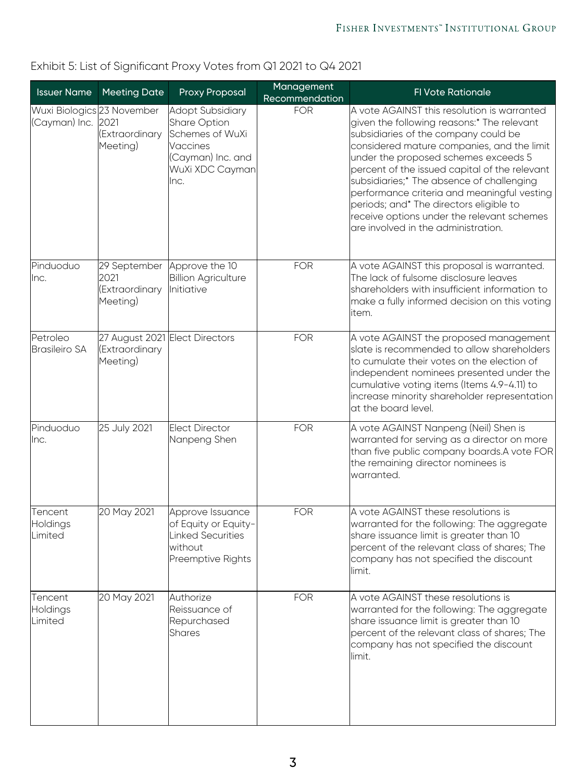| <b>Issuer Name</b>                               | <b>Meeting Date</b>                                          | <b>Proxy Proposal</b>                                                                                           | Management<br>Recommendation | <b>FI Vote Rationale</b>                                                                                                                                                                                                                                                                                                                                                                                                                                                                             |
|--------------------------------------------------|--------------------------------------------------------------|-----------------------------------------------------------------------------------------------------------------|------------------------------|------------------------------------------------------------------------------------------------------------------------------------------------------------------------------------------------------------------------------------------------------------------------------------------------------------------------------------------------------------------------------------------------------------------------------------------------------------------------------------------------------|
| Wuxi Biologics 23 November<br>(Cayman) Inc. 2021 | (Extraordinary<br>Meeting)                                   | Adopt Subsidiary<br>Share Option<br>Schemes of WuXi<br>Vaccines<br>(Cayman) Inc. and<br>WuXi XDC Cayman<br>lnc. | <b>FOR</b>                   | A vote AGAINST this resolution is warranted<br>given the following reasons:* The relevant<br>subsidiaries of the company could be<br>considered mature companies, and the limit<br>under the proposed schemes exceeds 5<br>percent of the issued capital of the relevant<br>subsidiaries;* The absence of challenging<br>performance criteria and meaningful vesting<br>periods; and* The directors eligible to<br>receive options under the relevant schemes<br>are involved in the administration. |
| Pinduoduo<br>llnc.                               | 29 September<br>2021<br>(Extraordinary<br>Meeting)           | Approve the 10<br><b>Billion Agriculture</b><br>lInitiative                                                     | <b>FOR</b>                   | A vote AGAINST this proposal is warranted.<br>The lack of fulsome disclosure leaves<br>shareholders with insufficient information to<br>make a fully informed decision on this voting<br>item.                                                                                                                                                                                                                                                                                                       |
| Petroleo<br>Brasileiro SA                        | 27 August 2021 Elect Directors<br>(Extraordinary<br>Meeting) |                                                                                                                 | <b>FOR</b>                   | A vote AGAINST the proposed management<br>slate is recommended to allow shareholders<br>to cumulate their votes on the election of<br>independent nominees presented under the<br>cumulative voting items (Items 4.9-4.11) to<br>increase minority shareholder representation<br>at the board level.                                                                                                                                                                                                 |
| Pinduoduo<br>llnc.                               | 25 July 2021                                                 | Elect Director<br>Nanpeng Shen                                                                                  | <b>FOR</b>                   | A vote AGAINST Nanpeng (Neil) Shen is<br>warranted for serving as a director on more<br>than five public company boards.A vote FOR<br>the remaining director nominees is<br>warranted.                                                                                                                                                                                                                                                                                                               |
| Tencent<br>Holdings<br>Limited                   | 20 May 2021                                                  | Approve Issuance<br>of Equity or Equity-<br>Linked Securities<br>without<br>Preemptive Rights                   | <b>FOR</b>                   | A vote AGAINST these resolutions is<br>warranted for the following: The aggregate<br>share issuance limit is greater than 10<br>percent of the relevant class of shares; The<br>company has not specified the discount<br>llimit.                                                                                                                                                                                                                                                                    |
| Tencent<br>Holdings<br>Limited                   | 20 May 2021                                                  | Authorize<br>Reissuance of<br>Repurchased<br><b>Shares</b>                                                      | <b>FOR</b>                   | A vote AGAINST these resolutions is<br>warranted for the following: The aggregate<br>share issuance limit is greater than 10<br>percent of the relevant class of shares; The<br>company has not specified the discount<br>limit.                                                                                                                                                                                                                                                                     |

### Exhibit 5: List of Significant Proxy Votes from Q1 2021 to Q4 2021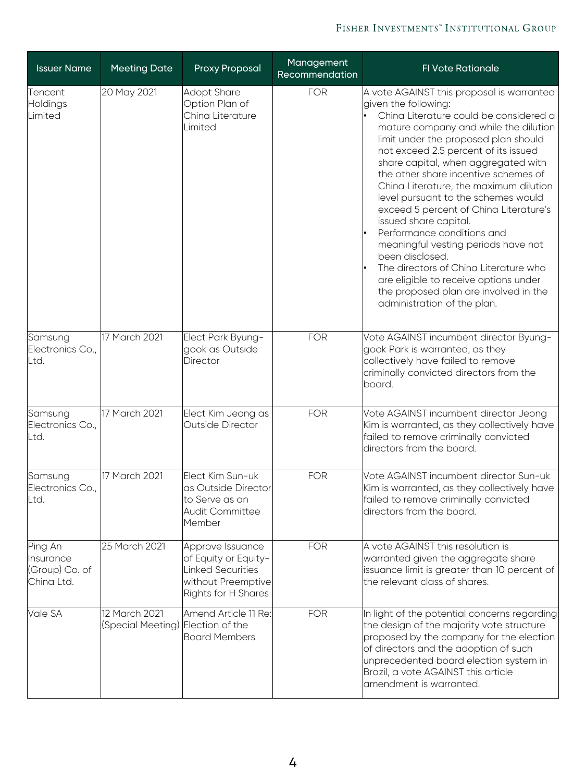#### FISHER INVESTMENTS" INSTITUTIONAL GROUP

| <b>Issuer Name</b>                                   | <b>Meeting Date</b>                                | Proxy Proposal                                                                                                    | Management<br>Recommendation | <b>FI Vote Rationale</b>                                                                                                                                                                                                                                                                                                                                                                                                                                                                                                                                                                                                                                                                                                  |
|------------------------------------------------------|----------------------------------------------------|-------------------------------------------------------------------------------------------------------------------|------------------------------|---------------------------------------------------------------------------------------------------------------------------------------------------------------------------------------------------------------------------------------------------------------------------------------------------------------------------------------------------------------------------------------------------------------------------------------------------------------------------------------------------------------------------------------------------------------------------------------------------------------------------------------------------------------------------------------------------------------------------|
| Tencent<br>Holdings<br>Limited                       | 20 May 2021                                        | Adopt Share<br>Option Plan of<br>China Literature<br>Limited                                                      | <b>FOR</b>                   | A vote AGAINST this proposal is warranted<br>given the following:<br>China Literature could be considered a<br>mature company and while the dilution<br>limit under the proposed plan should<br>not exceed 2.5 percent of its issued<br>share capital, when aggregated with<br>the other share incentive schemes of<br>China Literature, the maximum dilution<br>level pursuant to the schemes would<br>exceed 5 percent of China Literature's<br>issued share capital.<br>Performance conditions and<br>meaningful vesting periods have not<br>been disclosed.<br>The directors of China Literature who<br>are eligible to receive options under<br>the proposed plan are involved in the<br>administration of the plan. |
| Samsung<br>Electronics Co.,<br>Ltd.                  | 17 March 2021                                      | Elect Park Byung-<br>gook as Outside<br>Director                                                                  | <b>FOR</b>                   | Vote AGAINST incumbent director Byung-<br>gook Park is warranted, as they<br>collectively have failed to remove<br>criminally convicted directors from the<br>board.                                                                                                                                                                                                                                                                                                                                                                                                                                                                                                                                                      |
| Samsung<br>Electronics Co.,<br>Ltd.                  | 17 March 2021                                      | Elect Kim Jeong as<br>Outside Director                                                                            | <b>FOR</b>                   | Vote AGAINST incumbent director Jeong<br>Kim is warranted, as they collectively have<br>failed to remove criminally convicted<br>directors from the board.                                                                                                                                                                                                                                                                                                                                                                                                                                                                                                                                                                |
| Samsung<br>Electronics Co.,<br>Ltd.                  | 17 March 2021                                      | Elect Kim Sun-uk<br>as Outside Director<br>to Serve as an<br><b>Audit Committee</b><br>Member                     | <b>FOR</b>                   | Vote AGAINST incumbent director Sun-uk<br>Kim is warranted, as they collectively have<br>failed to remove criminally convicted<br>directors from the board.                                                                                                                                                                                                                                                                                                                                                                                                                                                                                                                                                               |
| Ping An<br>Insurance<br>(Group) Co. of<br>China Ltd. | 25 March 2021                                      | Approve Issuance<br>of Equity or Equity-<br><b>Linked Securities</b><br>without Preemptive<br>Rights for H Shares | <b>FOR</b>                   | A vote AGAINST this resolution is<br>warranted given the aggregate share<br>issuance limit is greater than 10 percent of<br>the relevant class of shares.                                                                                                                                                                                                                                                                                                                                                                                                                                                                                                                                                                 |
| Vale SA                                              | 12 March 2021<br>(Special Meeting) Election of the | Amend Article 11 Re:<br><b>Board Members</b>                                                                      | <b>FOR</b>                   | In light of the potential concerns regarding<br>the design of the majority vote structure<br>proposed by the company for the election<br>of directors and the adoption of such<br>unprecedented board election system in<br>Brazil, a vote AGAINST this article<br>amendment is warranted.                                                                                                                                                                                                                                                                                                                                                                                                                                |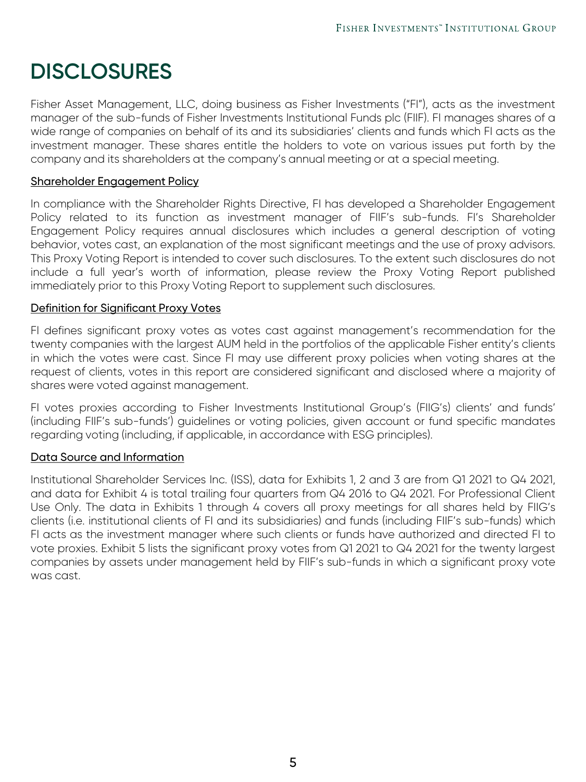# **DISCLOSURES**

Fisher Asset Management, LLC, doing business as Fisher Investments ("FI"), acts as the investment manager of the sub-funds of Fisher Investments Institutional Funds plc (FIIF). FI manages shares of a wide range of companies on behalf of its and its subsidiaries' clients and funds which FI acts as the investment manager. These shares entitle the holders to vote on various issues put forth by the company and its shareholders at the company's annual meeting or at a special meeting.

#### Shareholder Engagement Policy

In compliance with the Shareholder Rights Directive, FI has developed a Shareholder Engagement Policy related to its function as investment manager of FIIF's sub-funds. FI's Shareholder Engagement Policy requires annual disclosures which includes a general description of voting behavior, votes cast, an explanation of the most significant meetings and the use of proxy advisors. This Proxy Voting Report is intended to cover such disclosures. To the extent such disclosures do not include a full year's worth of information, please review the Proxy Voting Report published immediately prior to this Proxy Voting Report to supplement such disclosures.

#### Definition for Significant Proxy Votes

FI defines significant proxy votes as votes cast against management's recommendation for the twenty companies with the largest AUM held in the portfolios of the applicable Fisher entity's clients in which the votes were cast. Since FI may use different proxy policies when voting shares at the request of clients, votes in this report are considered significant and disclosed where a majority of shares were voted against management.

FI votes proxies according to Fisher Investments Institutional Group's (FIIG's) clients' and funds' (including FIIF's sub-funds') guidelines or voting policies, given account or fund specific mandates regarding voting (including, if applicable, in accordance with ESG principles).

#### Data Source and Information

Institutional Shareholder Services Inc. (ISS), data for Exhibits 1, 2 and 3 are from Q1 2021 to Q4 2021, and data for Exhibit 4 is total trailing four quarters from Q4 2016 to Q4 2021. For Professional Client Use Only. The data in Exhibits 1 through 4 covers all proxy meetings for all shares held by FIIG's clients (i.e. institutional clients of FI and its subsidiaries) and funds (including FIIF's sub-funds) which FI acts as the investment manager where such clients or funds have authorized and directed FI to vote proxies. Exhibit 5 lists the significant proxy votes from Q1 2021 to Q4 2021 for the twenty largest companies by assets under management held by FIIF's sub-funds in which a significant proxy vote was cast.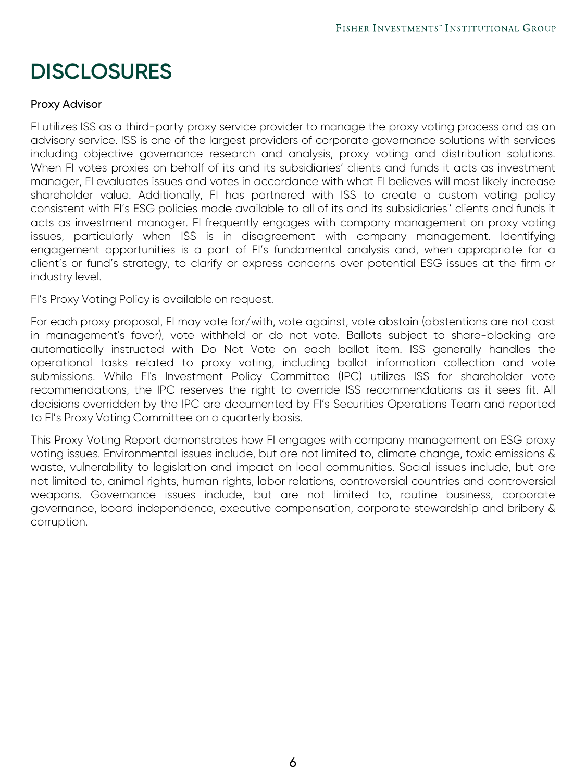# **DISCLOSURES**

#### Proxy Advisor

FI utilizes ISS as a third-party proxy service provider to manage the proxy voting process and as an advisory service. ISS is one of the largest providers of corporate governance solutions with services including objective governance research and analysis, proxy voting and distribution solutions. When FI votes proxies on behalf of its and its subsidiaries' clients and funds it acts as investment manager, FI evaluates issues and votes in accordance with what FI believes will most likely increase shareholder value. Additionally, FI has partnered with ISS to create a custom voting policy consistent with FI's ESG policies made available to all of its and its subsidiaries'' clients and funds it acts as investment manager. FI frequently engages with company management on proxy voting issues, particularly when ISS is in disagreement with company management. Identifying engagement opportunities is a part of FI's fundamental analysis and, when appropriate for a client's or fund's strategy, to clarify or express concerns over potential ESG issues at the firm or industry level.

FI's Proxy Voting Policy is available on request.

For each proxy proposal, FI may vote for/with, vote against, vote abstain (abstentions are not cast in management's favor), vote withheld or do not vote. Ballots subject to share-blocking are automatically instructed with Do Not Vote on each ballot item. ISS generally handles the operational tasks related to proxy voting, including ballot information collection and vote submissions. While FI's Investment Policy Committee (IPC) utilizes ISS for shareholder vote recommendations, the IPC reserves the right to override ISS recommendations as it sees fit. All decisions overridden by the IPC are documented by FI's Securities Operations Team and reported to FI's Proxy Voting Committee on a quarterly basis.

This Proxy Voting Report demonstrates how FI engages with company management on ESG proxy voting issues. Environmental issues include, but are not limited to, climate change, toxic emissions & waste, vulnerability to legislation and impact on local communities. Social issues include, but are not limited to, animal rights, human rights, labor relations, controversial countries and controversial weapons. Governance issues include, but are not limited to, routine business, corporate governance, board independence, executive compensation, corporate stewardship and bribery & corruption.